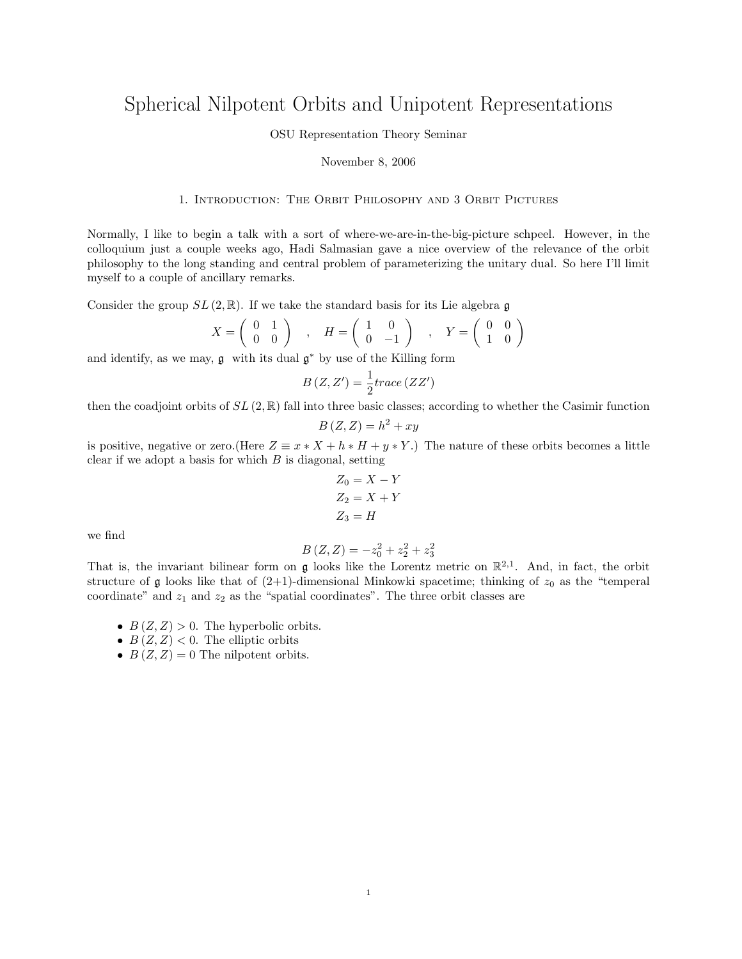# Spherical Nilpotent Orbits and Unipotent Representations

OSU Representation Theory Seminar

#### November 8, 2006

# 1. Introduction: The Orbit Philosophy and 3 Orbit Pictures

Normally, I like to begin a talk with a sort of where-we-are-in-the-big-picture schpeel. However, in the colloquium just a couple weeks ago, Hadi Salmasian gave a nice overview of the relevance of the orbit philosophy to the long standing and central problem of parameterizing the unitary dual. So here I'll limit myself to a couple of ancillary remarks.

Consider the group  $SL(2,\mathbb{R})$ . If we take the standard basis for its Lie algebra g

$$
X = \left(\begin{array}{cc} 0 & 1 \\ 0 & 0 \end{array}\right) , H = \left(\begin{array}{cc} 1 & 0 \\ 0 & -1 \end{array}\right) , Y = \left(\begin{array}{cc} 0 & 0 \\ 1 & 0 \end{array}\right)
$$

and identify, as we may,  $\mathfrak g$  with its dual  $\mathfrak g^*$  by use of the Killing form

$$
B\left(Z,Z'\right) = \frac{1}{2}trace\left(ZZ'\right)
$$

then the coadjoint orbits of  $SL(2,\mathbb{R})$  fall into three basic classes; according to whether the Casimir function

$$
B(Z, Z) = h^2 + xy
$$

is positive, negative or zero.(Here  $Z \equiv x * X + h * H + y * Y$ .) The nature of these orbits becomes a little clear if we adopt a basis for which  $B$  is diagonal, setting

$$
Z_0 = X - Y
$$
  
\n
$$
Z_2 = X + Y
$$
  
\n
$$
Z_3 = H
$$

we find

$$
B(Z, Z) = -z_0^2 + z_2^2 + z_3^2
$$

That is, the invariant bilinear form on  $\mathfrak g$  looks like the Lorentz metric on  $\mathbb R^{2,1}$ . And, in fact, the orbit structure of g looks like that of  $(2+1)$ -dimensional Minkowki spacetime; thinking of  $z_0$  as the "temperal" coordinate" and  $z_1$  and  $z_2$  as the "spatial coordinates". The three orbit classes are

- $B(Z, Z) > 0$ . The hyperbolic orbits.
- $B(Z, Z) < 0$ . The elliptic orbits
- $B(Z, Z) = 0$  The nilpotent orbits.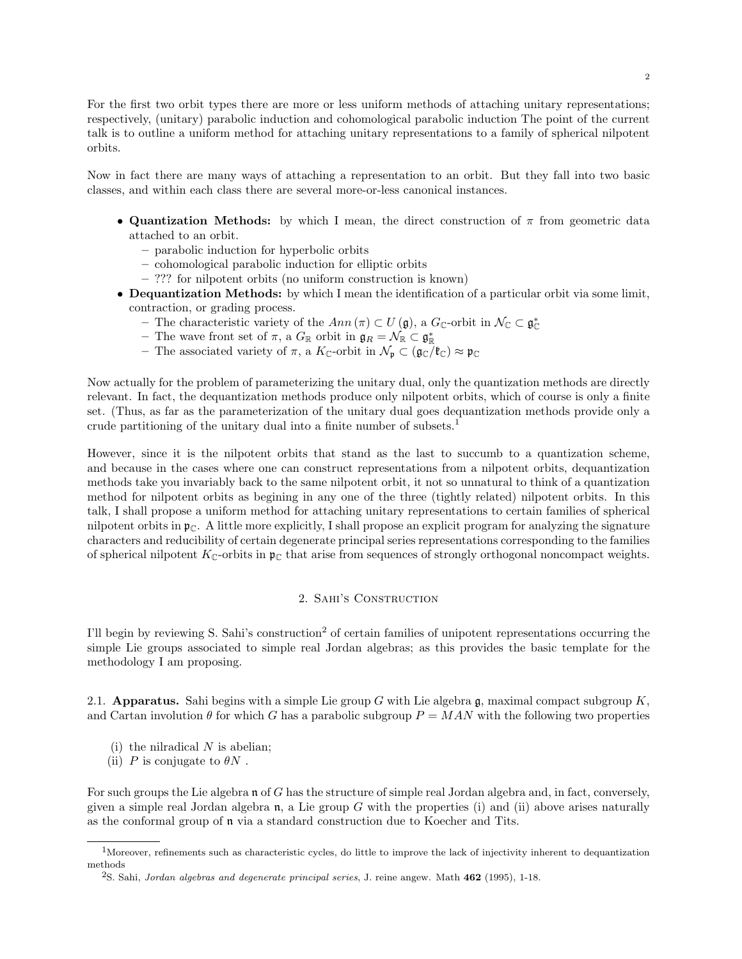For the first two orbit types there are more or less uniform methods of attaching unitary representations; respectively, (unitary) parabolic induction and cohomological parabolic induction The point of the current talk is to outline a uniform method for attaching unitary representations to a family of spherical nilpotent orbits.

Now in fact there are many ways of attaching a representation to an orbit. But they fall into two basic classes, and within each class there are several more-or-less canonical instances.

- Quantization Methods: by which I mean, the direct construction of  $\pi$  from geometric data attached to an orbit.
	- parabolic induction for hyperbolic orbits
	- cohomological parabolic induction for elliptic orbits
	- ??? for nilpotent orbits (no uniform construction is known)
- Dequantization Methods: by which I mean the identification of a particular orbit via some limit, contraction, or grading process.
	- The characteristic variety of the  $Ann(\pi) \subset U(\mathfrak{g})$ , a  $G_{\mathbb{C}}$ -orbit in  $\mathcal{N}_{\mathbb{C}} \subset \mathfrak{g}_{\mathbb{C}}^*$
	- The wave front set of  $\pi$ , a  $G_{\mathbb{R}}$  orbit in  $\mathfrak{g}_R = \mathcal{N}_{\mathbb{R}} \subset \mathfrak{g}_\mathbb{R}^*$
	- The associated variety of  $\pi$ , a  $K_{\mathbb{C}}$ -orbit in  $\mathcal{N}_{\mathfrak{p}} \subset (\mathfrak{g}_{\mathbb{C}}/\mathfrak{k}_{\mathbb{C}}) \approx \mathfrak{p}_{\mathbb{C}}$

Now actually for the problem of parameterizing the unitary dual, only the quantization methods are directly relevant. In fact, the dequantization methods produce only nilpotent orbits, which of course is only a finite set. (Thus, as far as the parameterization of the unitary dual goes dequantization methods provide only a crude partitioning of the unitary dual into a finite number of subsets.<sup>1</sup>

However, since it is the nilpotent orbits that stand as the last to succumb to a quantization scheme, and because in the cases where one can construct representations from a nilpotent orbits, dequantization methods take you invariably back to the same nilpotent orbit, it not so unnatural to think of a quantization method for nilpotent orbits as begining in any one of the three (tightly related) nilpotent orbits. In this talk, I shall propose a uniform method for attaching unitary representations to certain families of spherical nilpotent orbits in  $\mathfrak{p}_{\mathbb{C}}$ . A little more explicitly, I shall propose an explicit program for analyzing the signature characters and reducibility of certain degenerate principal series representations corresponding to the families of spherical nilpotent  $K_{\mathbb{C}}$ -orbits in  $\mathfrak{p}_{\mathbb{C}}$  that arise from sequences of strongly orthogonal noncompact weights.

## 2. Sahi's Construction

I'll begin by reviewing S. Sahi's construction<sup>2</sup> of certain families of unipotent representations occurring the simple Lie groups associated to simple real Jordan algebras; as this provides the basic template for the methodology I am proposing.

2.1. Apparatus. Sahi begins with a simple Lie group G with Lie algebra  $\mathfrak{g}$ , maximal compact subgroup K, and Cartan involution  $\theta$  for which G has a parabolic subgroup  $P = MAN$  with the following two properties

- (i) the nilradical  $N$  is abelian;
- (ii) P is conjugate to  $\theta N$ .

For such groups the Lie algebra n of G has the structure of simple real Jordan algebra and, in fact, conversely, given a simple real Jordan algebra  $\mathfrak n$ , a Lie group G with the properties (i) and (ii) above arises naturally as the conformal group of n via a standard construction due to Koecher and Tits.

<sup>1</sup>Moreover, refinements such as characteristic cycles, do little to improve the lack of injectivity inherent to dequantization methods

<sup>&</sup>lt;sup>2</sup>S. Sahi, Jordan algebras and degenerate principal series, J. reine angew. Math 462 (1995), 1-18.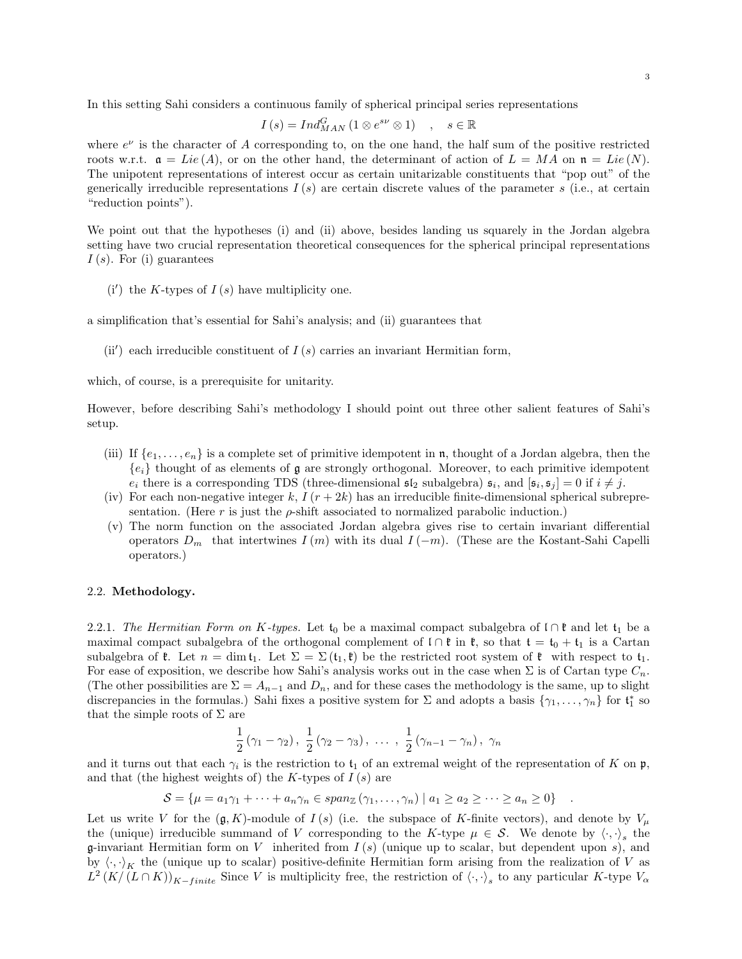In this setting Sahi considers a continuous family of spherical principal series representations

$$
I(s) = Ind_{MAN}^{G} (1 \otimes e^{s\nu} \otimes 1) , s \in \mathbb{R}
$$

where  $e^{\nu}$  is the character of A corresponding to, on the one hand, the half sum of the positive restricted roots w.r.t.  $a = Lie(A)$ , or on the other hand, the determinant of action of  $L = MA$  on  $n = Lie(N)$ . The unipotent representations of interest occur as certain unitarizable constituents that "pop out" of the generically irreducible representations  $I(s)$  are certain discrete values of the parameter s (i.e., at certain "reduction points").

We point out that the hypotheses (i) and (ii) above, besides landing us squarely in the Jordan algebra setting have two crucial representation theoretical consequences for the spherical principal representations  $I(s)$ . For (i) guarantees

 $(i')$  the K-types of  $I(s)$  have multiplicity one.

a simplification that's essential for Sahi's analysis; and (ii) guarantees that

(ii') each irreducible constituent of  $I(s)$  carries an invariant Hermitian form,

which, of course, is a prerequisite for unitarity.

However, before describing Sahi's methodology I should point out three other salient features of Sahi's setup.

- (iii) If  $\{e_1, \ldots, e_n\}$  is a complete set of primitive idempotent in **n**, thought of a Jordan algebra, then the  ${e_i}$  thought of as elements of g are strongly orthogonal. Moreover, to each primitive idempotent  $e_i$  there is a corresponding TDS (three-dimensional  $\mathfrak{sl}_2$  subalgebra)  $\mathfrak{s}_i$ , and  $[\mathfrak{s}_i, \mathfrak{s}_j] = 0$  if  $i \neq j$ .
- (iv) For each non-negative integer k,  $I(r + 2k)$  has an irreducible finite-dimensional spherical subrepresentation. (Here  $r$  is just the  $\rho$ -shift associated to normalized parabolic induction.)
- (v) The norm function on the associated Jordan algebra gives rise to certain invariant differential operators  $D_m$  that intertwines  $I(m)$  with its dual  $I(-m)$ . (These are the Kostant-Sahi Capelli operators.)

### 2.2. Methodology.

2.2.1. The Hermitian Form on K-types. Let  $t_0$  be a maximal compact subalgebra of  $\iota \cap \mathfrak{k}$  and let  $t_1$  be a maximal compact subalgebra of the orthogonal complement of  $\iota \cap \mathfrak{k}$  in  $\mathfrak{k}$ , so that  $\mathfrak{t} = \mathfrak{t}_0 + \mathfrak{t}_1$  is a Cartan subalgebra of  $\mathfrak{k}$ . Let  $n = \dim \mathfrak{t}_1$ . Let  $\Sigma = \Sigma(\mathfrak{t}_1, \mathfrak{k})$  be the restricted root system of  $\mathfrak{k}$  with respect to  $\mathfrak{t}_1$ . For ease of exposition, we describe how Sahi's analysis works out in the case when  $\Sigma$  is of Cartan type  $C_n$ . (The other possibilities are  $\Sigma = A_{n-1}$  and  $D_n$ , and for these cases the methodology is the same, up to slight discrepancies in the formulas.) Sahi fixes a positive system for  $\Sigma$  and adopts a basis  $\{\gamma_1,\ldots,\gamma_n\}$  for  $\mathfrak{t}_1^*$  so that the simple roots of  $\Sigma$  are

$$
\frac{1}{2}(\gamma_1 - \gamma_2), \ \frac{1}{2}(\gamma_2 - \gamma_3), \ \ldots \ , \ \frac{1}{2}(\gamma_{n-1} - \gamma_n), \ \gamma_n
$$

and it turns out that each  $\gamma_i$  is the restriction to  $\mathfrak{t}_1$  of an extremal weight of the representation of K on  $\mathfrak{p}$ , and that (the highest weights of) the K-types of  $I(s)$  are

$$
S = \{ \mu = a_1 \gamma_1 + \dots + a_n \gamma_n \in span_{\mathbb{Z}} (\gamma_1, \dots, \gamma_n) \mid a_1 \geq a_2 \geq \dots \geq a_n \geq 0 \} \quad .
$$

Let us write V for the  $(\mathfrak{g}, K)$ -module of  $I(s)$  (i.e. the subspace of K-finite vectors), and denote by  $V_\mu$ the (unique) irreducible summand of V corresponding to the K-type  $\mu \in \mathcal{S}$ . We denote by  $\langle \cdot, \cdot \rangle_s$  the **g**-invariant Hermitian form on V inherited from  $I(s)$  (unique up to scalar, but dependent upon s), and by  $\langle \cdot, \cdot \rangle_K$  the (unique up to scalar) positive-definite Hermitian form arising from the realization of V as  $L^2(K/(L\cap K))_{K-finite}$  Since V is multiplicity free, the restriction of  $\langle \cdot, \cdot \rangle_s$  to any particular K-type  $V_{\alpha}$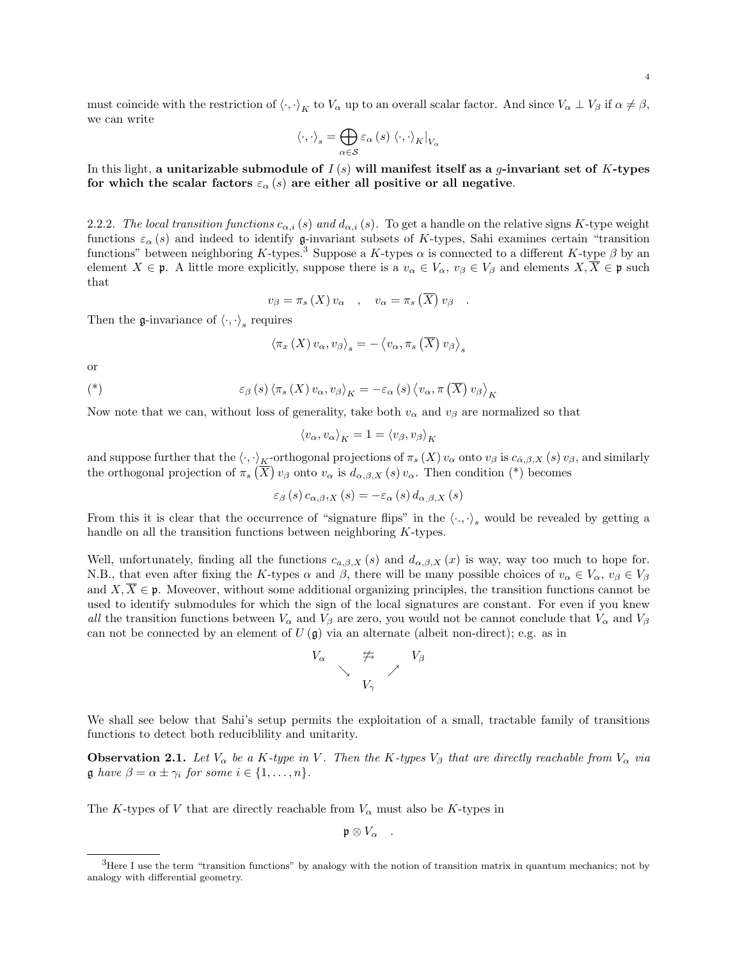must coincide with the restriction of  $\langle \cdot, \cdot \rangle_K$  to  $V_\alpha$  up to an overall scalar factor. And since  $V_\alpha \perp V_\beta$  if  $\alpha \neq \beta$ , we can write

$$
\left\langle \cdot,\cdot\right\rangle _{s}=\bigoplus_{\alpha\in\mathcal{S}}\varepsilon_{\alpha}\left(s\right)\left\langle \cdot,\cdot\right\rangle _{K}|_{V_{\alpha}}
$$

In this light, a unitarizable submodule of  $I(s)$  will manifest itself as a q-invariant set of K-types for which the scalar factors  $\varepsilon_{\alpha}(s)$  are either all positive or all negative.

2.2.2. The local transition functions  $c_{\alpha,i}(s)$  and  $d_{\alpha,i}(s)$ . To get a handle on the relative signs K-type weight functions  $\varepsilon_{\alpha}(s)$  and indeed to identify g-invariant subsets of K-types, Sahi examines certain "transition" functions" between neighboring K-types.<sup>3</sup> Suppose a K-types  $\alpha$  is connected to a different K-type  $\beta$  by an element  $X \in \mathfrak{p}$ . A little more explicitly, suppose there is a  $v_{\alpha} \in V_{\alpha}$ ,  $v_{\beta} \in V_{\beta}$  and elements  $X, \overline{X} \in \mathfrak{p}$  such that

$$
v_{\beta} = \pi_s(X) v_{\alpha} , \quad v_{\alpha} = \pi_s(\overline{X}) v_{\beta} .
$$

Then the g-invariance of  $\langle \cdot, \cdot \rangle_s$  requires

$$
\left\langle \pi_x\left(X\right)v_\alpha,v_\beta\right\rangle_s=-\left\langle v_\alpha,\pi_s\left(\overline{X}\right)v_\beta\right\rangle_s
$$

or

$$
(*)\qquad \qquad \varepsilon_{\beta}\left(s\right)\left\langle\pi_{s}\left(X\right)v_{\alpha},v_{\beta}\right\rangle_{K}=-\varepsilon_{\alpha}\left(s\right)\left\langle v_{\alpha},\pi\left(\overline{X}\right)v_{\beta}\right\rangle_{K}
$$

Now note that we can, without loss of generality, take both  $v_{\alpha}$  and  $v_{\beta}$  are normalized so that

$$
\langle v_{\alpha}, v_{\alpha} \rangle_K = 1 = \langle v_{\beta}, v_{\beta} \rangle_K
$$

and suppose further that the  $\langle \cdot, \cdot \rangle_K$ -orthogonal projections of  $\pi_s(X)$   $v_\alpha$  onto  $v_\beta$  is  $c_{\alpha,\beta,X}$   $(s)$   $v_\beta$ , and similarly the orthogonal projection of  $\pi_s(\overline{X})$   $v_\beta$  onto  $v_\alpha$  is  $d_{\alpha,\beta,X}(s)$   $v_\alpha$ . Then condition (\*) becomes

$$
\varepsilon_{\beta}(s) c_{\alpha,\beta,X}(s) = -\varepsilon_{\alpha}(s) d_{\alpha,\beta,X}(s)
$$

From this it is clear that the occurrence of "signature flips" in the  $\langle \cdot, \cdot \rangle_s$  would be revealed by getting a handle on all the transition functions between neighboring K-types.

Well, unfortunately, finding all the functions  $c_{a,\beta,X}(s)$  and  $d_{\alpha,\beta,X}(x)$  is way, way too much to hope for. N.B., that even after fixing the K-types  $\alpha$  and  $\beta$ , there will be many possible choices of  $v_{\alpha} \in V_{\alpha}$ ,  $v_{\beta} \in V_{\beta}$ and  $X, X \in \mathfrak{p}$ . Moveover, without some additional organizing principles, the transition functions cannot be used to identify submodules for which the sign of the local signatures are constant. For even if you knew all the transition functions between  $V_\alpha$  and  $V_\beta$  are zero, you would not be cannot conclude that  $V_\alpha$  and  $V_\beta$ can not be connected by an element of  $U(\mathfrak{g})$  via an alternate (albeit non-direct); e.g. as in



We shall see below that Sahi's setup permits the exploitation of a small, tractable family of transitions functions to detect both reduciblility and unitarity.

**Observation 2.1.** Let  $V_{\alpha}$  be a K-type in V. Then the K-types  $V_{\beta}$  that are directly reachable from  $V_{\alpha}$  via **g** have  $\beta = \alpha \pm \gamma_i$  for some  $i \in \{1, \ldots, n\}.$ 

The K-types of V that are directly reachable from  $V_{\alpha}$  must also be K-types in

 $\mathfrak{p} \otimes V_{\alpha}$  .

<sup>&</sup>lt;sup>3</sup>Here I use the term "transition functions" by analogy with the notion of transition matrix in quantum mechanics; not by analogy with differential geometry.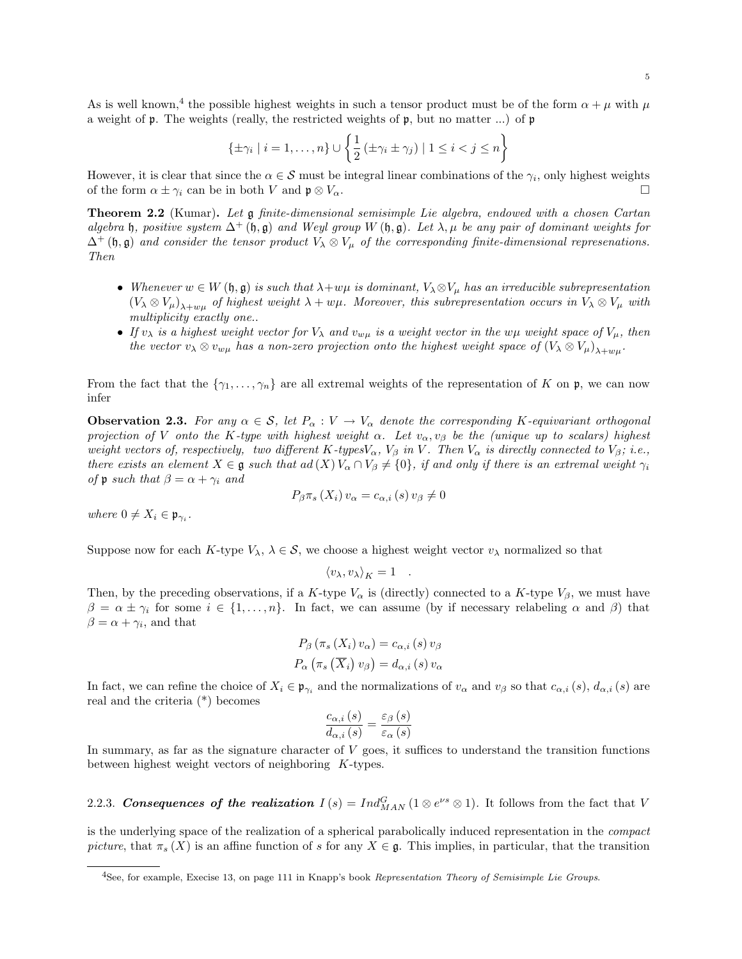As is well known,<sup>4</sup> the possible highest weights in such a tensor product must be of the form  $\alpha + \mu$  with  $\mu$ a weight of p. The weights (really, the restricted weights of p, but no matter ...) of p

$$
\{\pm \gamma_i \mid i = 1, \dots, n\} \cup \left\{\frac{1}{2} \left(\pm \gamma_i \pm \gamma_j\right) \mid 1 \leq i < j \leq n\right\}
$$

However, it is clear that since the  $\alpha \in \mathcal{S}$  must be integral linear combinations of the  $\gamma_i$ , only highest weights of the form  $\alpha \pm \gamma_i$  can be in both V and  $\mathfrak{p} \otimes V_\alpha$ .

Theorem 2.2 (Kumar). Let g finite-dimensional semisimple Lie algebra, endowed with a chosen Cartan algebra h, positive system  $\Delta^+(\mathfrak{h}, \mathfrak{g})$  and Weyl group W  $(\mathfrak{h}, \mathfrak{g})$ . Let  $\lambda, \mu$  be any pair of dominant weights for  $\Delta^+$  (h, g) and consider the tensor product  $V_\lambda \otimes V_\mu$  of the corresponding finite-dimensional represenations. Then

- Whenever  $w \in W(\mathfrak{h}, \mathfrak{g})$  is such that  $\lambda + w\mu$  is dominant,  $V_{\lambda} \otimes V_{\mu}$  has an irreducible subrepresentation  $(V_\lambda \otimes V_\mu)_{\lambda+w\mu}$  of highest weight  $\lambda+w\mu$ . Moreover, this subrepresentation occurs in  $V_\lambda \otimes V_\mu$  with multiplicity exactly one..
- If  $v_\lambda$  is a highest weight vector for  $V_\lambda$  and  $v_{w\mu}$  is a weight vector in the w $\mu$  weight space of  $V_\mu$ , then the vector  $v_\lambda \otimes v_{w\mu}$  has a non-zero projection onto the highest weight space of  $(V_\lambda \otimes V_\mu)_{\lambda+w\mu}$ .

From the fact that the  $\{\gamma_1,\ldots,\gamma_n\}$  are all extremal weights of the representation of K on p, we can now infer

**Observation 2.3.** For any  $\alpha \in \mathcal{S}$ , let  $P_{\alpha}: V \to V_{\alpha}$  denote the corresponding K-equivariant orthogonal projection of V onto the K-type with highest weight  $\alpha$ . Let  $v_{\alpha}, v_{\beta}$  be the (unique up to scalars) highest weight vectors of, respectively, two different K-types $V_{\alpha}$ ,  $V_{\beta}$  in V. Then  $V_{\alpha}$  is directly connected to  $V_{\beta}$ ; i.e., there exists an element  $X \in \mathfrak{g}$  such that  $ad(X) V_\alpha \cap V_\beta \neq \{0\}$ , if and only if there is an extremal weight  $\gamma_i$ of **p** such that  $\beta = \alpha + \gamma_i$  and

$$
P_{\beta}\pi_s(X_i) v_{\alpha} = c_{\alpha,i}(s) v_{\beta} \neq 0
$$

where  $0 \neq X_i \in \mathfrak{p}_{\gamma_i}$ .

Suppose now for each K-type  $V_\lambda$ ,  $\lambda \in \mathcal{S}$ , we choose a highest weight vector  $v_\lambda$  normalized so that

$$
\langle v_\lambda, v_\lambda \rangle_K = 1 \quad .
$$

Then, by the preceding observations, if a K-type  $V_{\alpha}$  is (directly) connected to a K-type  $V_{\beta}$ , we must have  $\beta = \alpha \pm \gamma_i$  for some  $i \in \{1, \ldots, n\}$ . In fact, we can assume (by if necessary relabeling  $\alpha$  and  $\beta$ ) that  $\beta = \alpha + \gamma_i$ , and that

$$
P_{\beta}(\pi_{s}(X_{i}) v_{\alpha}) = c_{\alpha,i}(s) v_{\beta}
$$

$$
P_{\alpha}(\pi_{s}(\overline{X}_{i}) v_{\beta}) = d_{\alpha,i}(s) v_{\alpha}
$$

In fact, we can refine the choice of  $X_i \in \mathfrak{p}_{\gamma_i}$  and the normalizations of  $v_\alpha$  and  $v_\beta$  so that  $c_{\alpha,i}(s), d_{\alpha,i}(s)$  are real and the criteria (\*) becomes

$$
\frac{c_{\alpha,i}(s)}{d_{\alpha,i}(s)} = \frac{\varepsilon_{\beta}(s)}{\varepsilon_{\alpha}(s)}
$$

In summary, as far as the signature character of V goes, it suffices to understand the transition functions between highest weight vectors of neighboring K-types.

2.2.3. Consequences of the realization  $I(s) = Ind_{MAN}^G(1 \otimes e^{\nu s} \otimes 1)$ . It follows from the fact that V

is the underlying space of the realization of a spherical parabolically induced representation in the compact picture, that  $\pi_s(X)$  is an affine function of s for any  $X \in \mathfrak{g}$ . This implies, in particular, that the transition

<sup>&</sup>lt;sup>4</sup>See, for example, Execise 13, on page 111 in Knapp's book Representation Theory of Semisimple Lie Groups.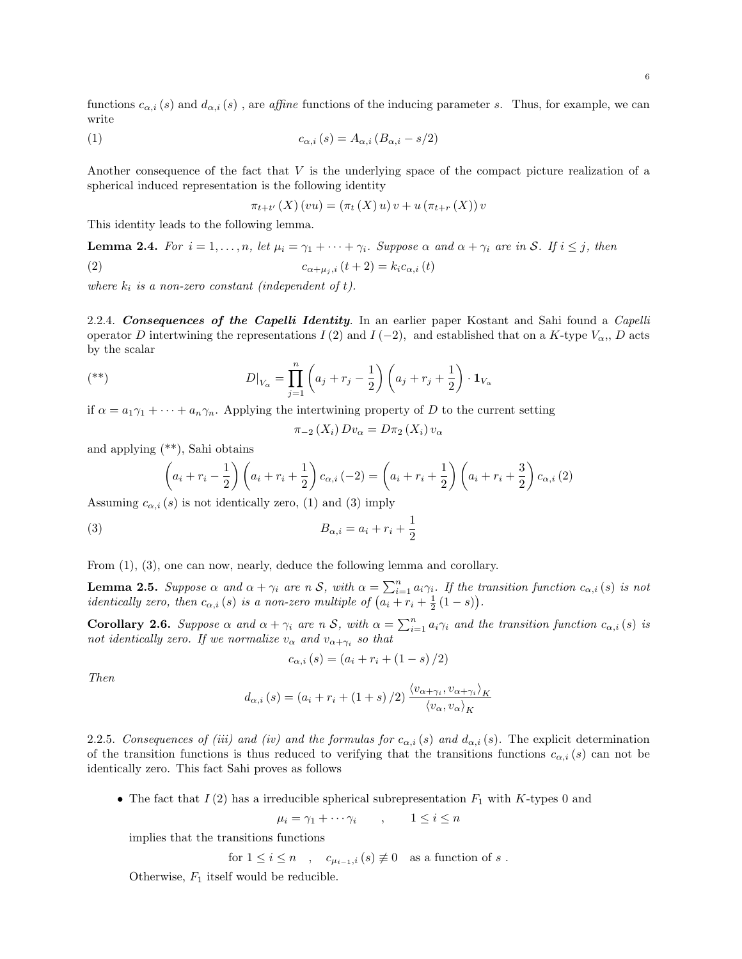functions  $c_{\alpha,i}(s)$  and  $d_{\alpha,i}(s)$ , are affine functions of the inducing parameter s. Thus, for example, we can write

$$
c_{\alpha,i}(s) = A_{\alpha,i}(B_{\alpha,i} - s/2)
$$

Another consequence of the fact that V is the underlying space of the compact picture realization of a spherical induced representation is the following identity

$$
\pi_{t+t'}(X)(vu) = (\pi_t(X) u) v + u(\pi_{t+r}(X)) v
$$

This identity leads to the following lemma.

**Lemma 2.4.** For  $i = 1, ..., n$ , let  $\mu_i = \gamma_1 + \cdots + \gamma_i$ . Suppose  $\alpha$  and  $\alpha + \gamma_i$  are in S. If  $i \leq j$ , then (2)  $c_{\alpha+\mu_i,i} (t+2) = k_i c_{\alpha,i} (t)$ 

where  $k_i$  is a non-zero constant (independent of t).

2.2.4. Consequences of the Capelli Identity. In an earlier paper Kostant and Sahi found a Capelli operator D intertwining the representations  $I(2)$  and  $I(-2)$ , and established that on a K-type  $V_{\alpha}$ , D acts by the scalar

$$
D|_{V_{\alpha}} = \prod_{j=1}^{n} \left( a_j + r_j - \frac{1}{2} \right) \left( a_j + r_j + \frac{1}{2} \right) \cdot \mathbf{1}_{V_{\alpha}}
$$

if  $\alpha = a_1 \gamma_1 + \cdots + a_n \gamma_n$ . Applying the intertwining property of D to the current setting

$$
\pi_{-2}(X_i) D v_{\alpha} = D \pi_2(X_i) v_{\alpha}
$$

and applying (\*\*), Sahi obtains

$$
\left(a_i + r_i - \frac{1}{2}\right)\left(a_i + r_i + \frac{1}{2}\right)c_{\alpha,i}(-2) = \left(a_i + r_i + \frac{1}{2}\right)\left(a_i + r_i + \frac{3}{2}\right)c_{\alpha,i}(2)
$$

Assuming  $c_{\alpha,i}(s)$  is not identically zero, (1) and (3) imply

$$
(3) \t B_{\alpha,i} = a_i + r_i + \frac{1}{2}
$$

From (1), (3), one can now, nearly, deduce the following lemma and corollary.

**Lemma 2.5.** Suppose  $\alpha$  and  $\alpha + \gamma_i$  are n S, with  $\alpha = \sum_{i=1}^n a_i \gamma_i$ . If the transition function  $c_{\alpha,i}(s)$  is not *identically zero, then*  $c_{\alpha,i}(s)$  *is a non-zero multiple of*  $(a_i + r_i + \frac{1}{2}(1-s))$ *.* 

**Corollary 2.6.** Suppose  $\alpha$  and  $\alpha + \gamma_i$  are n S, with  $\alpha = \sum_{i=1}^n a_i \gamma_i$  and the transition function  $c_{\alpha,i}(s)$  is not identically zero. If we normalize  $v_{\alpha}$  and  $v_{\alpha+\gamma_i}$  so that

$$
c_{\alpha,i}(s) = (a_i + r_i + (1 - s)/2)
$$

Then

$$
d_{\alpha,i}(s) = (a_i + r_i + (1+s)/2) \frac{\langle v_{\alpha+\gamma_i}, v_{\alpha+\gamma_i} \rangle_K}{\langle v_{\alpha}, v_{\alpha} \rangle_K}
$$

2.2.5. Consequences of (iii) and (iv) and the formulas for  $c_{\alpha,i}(s)$  and  $d_{\alpha,i}(s)$ . The explicit determination of the transition functions is thus reduced to verifying that the transitions functions  $c_{\alpha,i}(s)$  can not be identically zero. This fact Sahi proves as follows

• The fact that  $I(2)$  has a irreducible spherical subrepresentation  $F_1$  with K-types 0 and

$$
\mu_i = \gamma_1 + \cdots + \gamma_i \qquad , \qquad 1 \le i \le n
$$

implies that the transitions functions

for 
$$
1 \leq i \leq n
$$
,  $c_{\mu_{i-1},i}(s) \not\equiv 0$  as a function of s.

Otherwise,  $F_1$  itself would be reducible.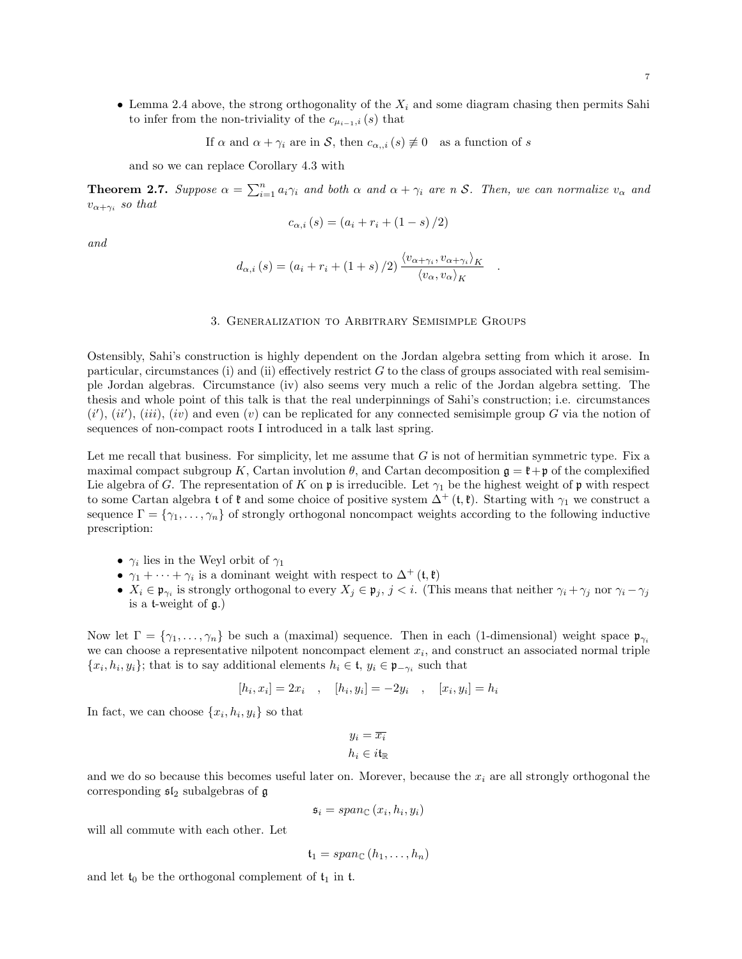• Lemma 2.4 above, the strong orthogonality of the  $X_i$  and some diagram chasing then permits Sahi to infer from the non-triviality of the  $c_{\mu_{i-1},i}(s)$  that

If  $\alpha$  and  $\alpha + \gamma_i$  are in S, then  $c_{\alpha,i}(s) \not\equiv 0$  as a function of s

and so we can replace Corollary 4.3 with

**Theorem 2.7.** Suppose  $\alpha = \sum_{i=1}^n a_i \gamma_i$  and both  $\alpha$  and  $\alpha + \gamma_i$  are n S. Then, we can normalize  $v_{\alpha}$  and  $v_{\alpha+\gamma_i}$  so that

$$
c_{\alpha,i}(s) = (a_i + r_i + (1 - s)/2)
$$

and

$$
d_{\alpha,i}(s) = (a_i + r_i + (1+s)/2) \frac{\langle v_{\alpha+\gamma_i}, v_{\alpha+\gamma_i} \rangle_K}{\langle v_{\alpha}, v_{\alpha} \rangle_K}
$$

.

#### 3. Generalization to Arbitrary Semisimple Groups

Ostensibly, Sahi's construction is highly dependent on the Jordan algebra setting from which it arose. In particular, circumstances (i) and (ii) effectively restrict  $G$  to the class of groups associated with real semisimple Jordan algebras. Circumstance (iv) also seems very much a relic of the Jordan algebra setting. The thesis and whole point of this talk is that the real underpinnings of Sahi's construction; i.e. circumstances  $(i'), (ii'), (iii), (iv)$  and even  $(v)$  can be replicated for any connected semisimple group G via the notion of sequences of non-compact roots I introduced in a talk last spring.

Let me recall that business. For simplicity, let me assume that  $G$  is not of hermitian symmetric type. Fix a maximal compact subgroup K, Cartan involution  $\theta$ , and Cartan decomposition  $\mathfrak{g} = \mathfrak{k} + \mathfrak{p}$  of the complexified Lie algebra of G. The representation of K on  $\mathfrak p$  is irreducible. Let  $\gamma_1$  be the highest weight of  $\mathfrak p$  with respect to some Cartan algebra t of  $\mathfrak k$  and some choice of positive system  $\Delta^+$  (t,  $\mathfrak k$ ). Starting with  $\gamma_1$  we construct a sequence  $\Gamma = \{\gamma_1, \ldots, \gamma_n\}$  of strongly orthogonal noncompact weights according to the following inductive prescription:

- $\gamma_i$  lies in the Weyl orbit of  $\gamma_1$
- $\gamma_1 + \cdots + \gamma_i$  is a dominant weight with respect to  $\Delta^+$  (t, t)
- $X_i \in \mathfrak{p}_{\gamma_i}$  is strongly orthogonal to every  $X_j \in \mathfrak{p}_j$ ,  $j < i$ . (This means that neither  $\gamma_i + \gamma_j$  nor  $\gamma_i \gamma_j$ is a t-weight of  $\mathfrak{a}$ .)

Now let  $\Gamma = \{\gamma_1, \ldots, \gamma_n\}$  be such a (maximal) sequence. Then in each (1-dimensional) weight space  $\mathfrak{p}_{\gamma_i}$ we can choose a representative nilpotent noncompact element  $x_i$ , and construct an associated normal triple  $\{x_i, h_i, y_i\}$ ; that is to say additional elements  $h_i \in \mathfrak{t}$ ,  $y_i \in \mathfrak{p}_{-\gamma_i}$  such that

$$
[h_i, x_i] = 2x_i
$$
,  $[h_i, y_i] = -2y_i$ ,  $[x_i, y_i] = h_i$ 

In fact, we can choose  $\{x_i, h_i, y_i\}$  so that

$$
y_i = \overline{x_i}
$$

$$
h_i \in i\mathfrak{t}_\mathbb{R}
$$

and we do so because this becomes useful later on. Morever, because the  $x_i$  are all strongly orthogonal the corresponding  $\mathfrak{sl}_2$  subalgebras of  $\mathfrak g$ 

$$
\mathfrak{s}_i = span_{\mathbb{C}}(x_i, h_i, y_i)
$$

will all commute with each other. Let

$$
\mathfrak{t}_1 = span_{\mathbb{C}}\left(h_1,\ldots,h_n\right)
$$

and let  $t_0$  be the orthogonal complement of  $t_1$  in t.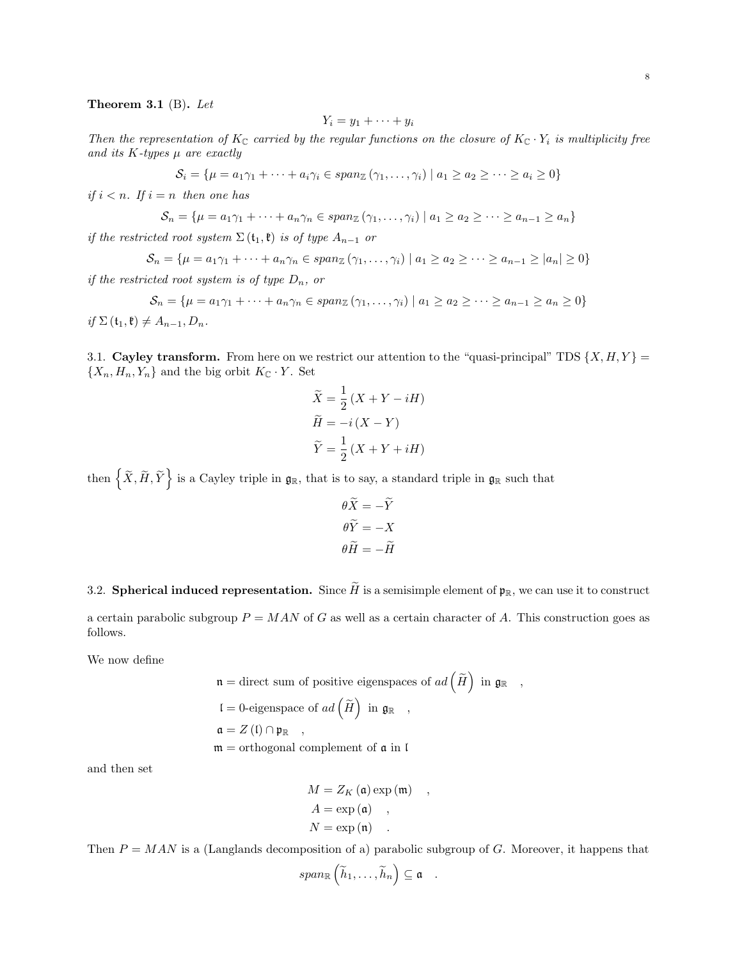## Theorem 3.1 (B). Let

$$
Y_i = y_1 + \cdots + y_i
$$

Then the representation of  $K_C$  carried by the regular functions on the closure of  $K_C \cdot Y_i$  is multiplicity free and its K-types  $\mu$  are exactly

$$
S_i = \{ \mu = a_1 \gamma_1 + \dots + a_i \gamma_i \in span_{\mathbb{Z}} (\gamma_1, \dots, \gamma_i) \mid a_1 \ge a_2 \ge \dots \ge a_i \ge 0 \}
$$

if  $i < n$ . If  $i = n$  then one has

$$
S_n = \{ \mu = a_1 \gamma_1 + \dots + a_n \gamma_n \in span_{\mathbb{Z}} (\gamma_1, \dots, \gamma_i) \mid a_1 \geq a_2 \geq \dots \geq a_{n-1} \geq a_n \}
$$

if the restricted root system  $\Sigma(\mathfrak{t}_1,\mathfrak{k})$  is of type  $A_{n-1}$  or

$$
S_n = \{ \mu = a_1 \gamma_1 + \dots + a_n \gamma_n \in span_{\mathbb{Z}} (\gamma_1, \dots, \gamma_i) \mid a_1 \ge a_2 \ge \dots \ge a_{n-1} \ge |a_n| \ge 0 \}
$$

if the restricted root system is of type  $D_n$ , or

$$
S_n = \{ \mu = a_1 \gamma_1 + \dots + a_n \gamma_n \in span_{\mathbb{Z}} (\gamma_1, \dots, \gamma_i) \mid a_1 \ge a_2 \ge \dots \ge a_{n-1} \ge a_n \ge 0 \}
$$

if  $\Sigma(\mathfrak{t}_1,\mathfrak{k})\neq A_{n-1}, D_n$ .

3.1. Cayley transform. From here on we restrict our attention to the "quasi-principal" TDS  $\{X, H, Y\}$  =  $\{X_n, H_n, Y_n\}$  and the big orbit  $K_{\mathbb{C}} \cdot Y$ . Set

$$
\widetilde{X} = \frac{1}{2} (X + Y - iH)
$$

$$
\widetilde{H} = -i (X - Y)
$$

$$
\widetilde{Y} = \frac{1}{2} (X + Y + iH)
$$

then  $\left\{ \widetilde{X},\widetilde{H},\widetilde{Y}\right\}$  is a Cayley triple in  $\mathfrak{g}_{\mathbb{R}},$  that is to say, a standard triple in  $\mathfrak{g}_{\mathbb{R}}$  such that

$$
\theta \widetilde{X} = -\widetilde{Y}
$$

$$
\theta \widetilde{Y} = -X
$$

$$
\theta \widetilde{H} = -\widetilde{H}
$$

3.2. Spherical induced representation. Since  $\widetilde{H}$  is a semisimple element of  $\mathfrak{p}_\mathbb{R}$ , we can use it to construct

a certain parabolic subgroup  $P = MAN$  of G as well as a certain character of A. This construction goes as follows.

We now define

$$
\mathfrak{n} =
$$
 direct sum of positive eigenspaces of  $ad\left(\widetilde{H}\right)$  in  $\mathfrak{g}_{\mathbb{R}}$ , \n $\mathfrak{l} = 0$ -eigenspace of  $ad\left(\widetilde{H}\right)$  in  $\mathfrak{g}_{\mathbb{R}}$ , \n $\mathfrak{a} = Z(\mathfrak{l}) \cap \mathfrak{p}_{\mathbb{R}}$ , \n $\mathfrak{m} =$  orthogonal complement of  $\mathfrak{a}$  in  $\mathfrak{l}$ 

and then set

$$
M = Z_K (\mathfrak{a}) \exp (\mathfrak{m}) ,
$$
  
\n
$$
A = \exp (\mathfrak{a}) ,
$$
  
\n
$$
N = \exp (\mathfrak{n}) .
$$

Then  $P = MAN$  is a (Langlands decomposition of a) parabolic subgroup of G. Moreover, it happens that

$$
span_{\mathbb{R}}\left(\widetilde{h}_1,\ldots,\widetilde{h}_n\right)\subseteq \mathfrak{a} \quad .
$$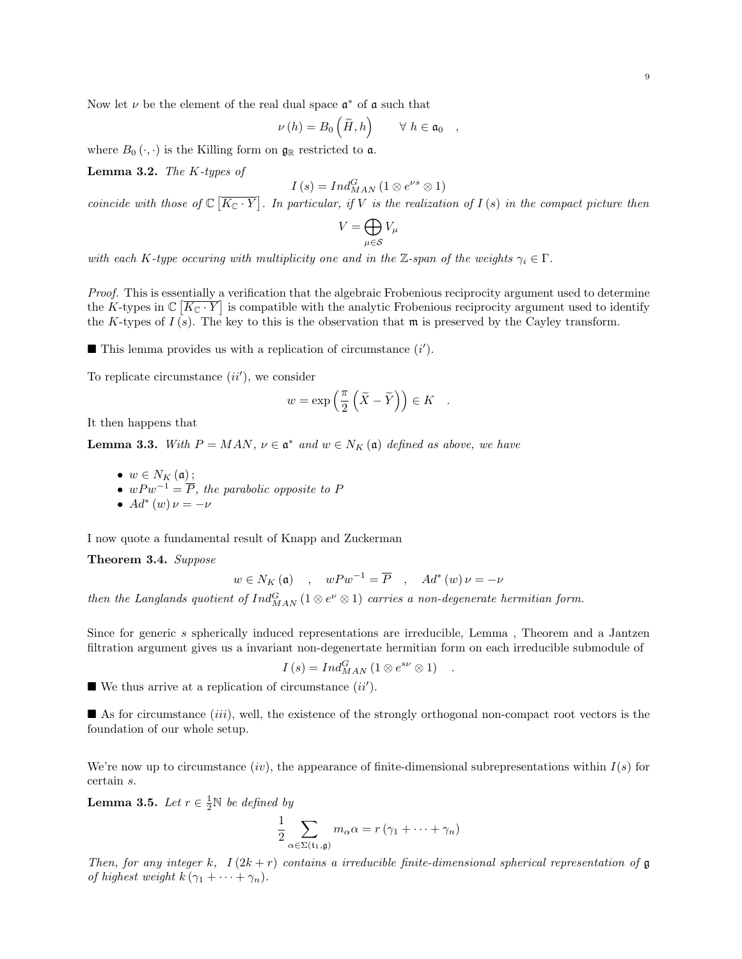Now let  $\nu$  be the element of the real dual space  $\mathfrak{a}^*$  of  $\mathfrak a$  such that

$$
\nu(h) = B_0\left(\widetilde{H}, h\right) \qquad \forall \ h \in \mathfrak{a}_0 \quad ,
$$

where  $B_0(\cdot, \cdot)$  is the Killing form on  $\mathfrak{g}_\mathbb{R}$  restricted to a.

**Lemma 3.2.** The  $K$ -types of

$$
I(s) = Ind_{MAN}^{G} (1 \otimes e^{\nu s} \otimes 1)
$$

coincide with those of  $\mathbb{C}[\overline{K_{\mathbb{C}}\cdot Y}]$ . In particular, if V is the realization of  $I(s)$  in the compact picture then

$$
V=\bigoplus_{\mu\in\mathcal{S}}V_\mu
$$

with each K-type occuring with multiplicity one and in the Z-span of the weights  $\gamma_i \in \Gamma$ .

Proof. This is essentially a verification that the algebraic Frobenious reciprocity argument used to determine the K-types in  $\mathbb{C}[\overline{K_{\mathbb{C}}\cdot Y}]$  is compatible with the analytic Frobenious reciprocity argument used to identify the K-types of  $I(s)$ . The key to this is the observation that  $\mathfrak{m}$  is preserved by the Cayley transform.

 $\blacksquare$  This lemma provides us with a replication of circumstance  $(i')$ .

To replicate circumstance  $(ii')$ , we consider

$$
w = \exp\left(\frac{\pi}{2}\left(\widetilde{X} - \widetilde{Y}\right)\right) \in K \quad .
$$

It then happens that

**Lemma 3.3.** With  $P = MAN$ ,  $\nu \in \mathfrak{a}^*$  and  $w \in N_K(\mathfrak{a})$  defined as above, we have

\n- $$
w \in N_K(\mathfrak{a});
$$
\n- $w P w^{-1} = \overline{P}$ , the parabolic opposite to  $P$
\n- $Ad^*(w) \nu = -\nu$
\n

I now quote a fundamental result of Knapp and Zuckerman

Theorem 3.4. Suppose

$$
w \in N_K(\mathfrak{a})
$$
,  $wPw^{-1} = \overline{P}$ ,  $Ad^*(w)\nu = -\nu$ 

then the Langlands quotient of  $Ind_{MAN}^G (1 \otimes e^{\nu} \otimes 1)$  carries a non-degenerate hermitian form.

Since for generic s spherically induced representations are irreducible, Lemma , Theorem and a Jantzen filtration argument gives us a invariant non-degenertate hermitian form on each irreducible submodule of

$$
I(s) = Ind_{MAN}^{G} (1 \otimes e^{s\nu} \otimes 1) .
$$

 $\blacksquare$  We thus arrive at a replication of circumstance  $(ii')$ .

As for circumstance  $(iii)$ , well, the existence of the strongly orthogonal non-compact root vectors is the foundation of our whole setup.

We're now up to circumstance (iv), the appearance of finite-dimensional subrepresentations within  $I(s)$  for certain s.

**Lemma 3.5.** Let  $r \in \frac{1}{2}N$  be defined by

$$
\frac{1}{2} \sum_{\alpha \in \Sigma(\mathfrak{t}_1, \mathfrak{g})} m_{\alpha} \alpha = r \left( \gamma_1 + \dots + \gamma_n \right)
$$

Then, for any integer k,  $I(2k+r)$  contains a irreducible finite-dimensional spherical representation of g of highest weight  $k(\gamma_1 + \cdots + \gamma_n)$ .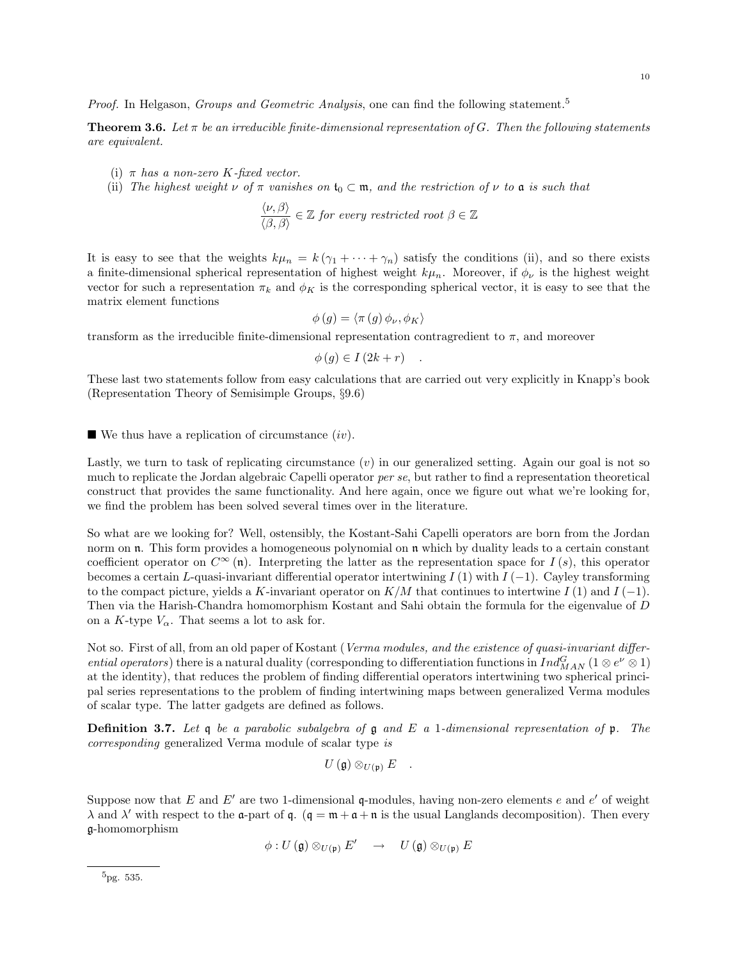Proof. In Helgason, Groups and Geometric Analysis, one can find the following statement.<sup>5</sup>

**Theorem 3.6.** Let  $\pi$  be an irreducible finite-dimensional representation of G. Then the following statements are equivalent.

- (i)  $\pi$  has a non-zero K-fixed vector.
- (ii) The highest weight  $\nu$  of  $\pi$  vanishes on  $t_0 \subset \mathfrak{m}$ , and the restriction of  $\nu$  to  $\mathfrak{a}$  is such that

$$
\frac{\langle \nu, \beta \rangle}{\langle \beta, \beta \rangle} \in \mathbb{Z} \text{ for every restricted root } \beta \in \mathbb{Z}
$$

It is easy to see that the weights  $k\mu_n = k(\gamma_1 + \cdots + \gamma_n)$  satisfy the conditions (ii), and so there exists a finite-dimensional spherical representation of highest weight  $k\mu_n$ . Moreover, if  $\phi_\nu$  is the highest weight vector for such a representation  $\pi_k$  and  $\phi_K$  is the corresponding spherical vector, it is easy to see that the matrix element functions

$$
\phi(g) = \langle \pi(g) \phi_{\nu}, \phi_{K} \rangle
$$

transform as the irreducible finite-dimensional representation contragredient to  $\pi$ , and moreover

$$
\phi(g) \in I(2k+r) \quad .
$$

These last two statements follow from easy calculations that are carried out very explicitly in Knapp's book (Representation Theory of Semisimple Groups, §9.6)

 $\blacksquare$  We thus have a replication of circumstance  $(iv)$ .

Lastly, we turn to task of replicating circumstance  $(v)$  in our generalized setting. Again our goal is not so much to replicate the Jordan algebraic Capelli operator per se, but rather to find a representation theoretical construct that provides the same functionality. And here again, once we figure out what we're looking for, we find the problem has been solved several times over in the literature.

So what are we looking for? Well, ostensibly, the Kostant-Sahi Capelli operators are born from the Jordan norm on **n**. This form provides a homogeneous polynomial on **n** which by duality leads to a certain constant coefficient operator on  $C^{\infty}(\mathfrak{n})$ . Interpreting the latter as the representation space for  $I(s)$ , this operator becomes a certain L-quasi-invariant differential operator intertwining I (1) with  $I(-1)$ . Cayley transforming to the compact picture, yields a K-invariant operator on  $K/M$  that continues to intertwine  $I(1)$  and  $I(-1)$ . Then via the Harish-Chandra homomorphism Kostant and Sahi obtain the formula for the eigenvalue of D on a K-type  $V_{\alpha}$ . That seems a lot to ask for.

Not so. First of all, from an old paper of Kostant (Verma modules, and the existence of quasi-invariant differential operators) there is a natural duality (corresponding to differentiation functions in  $Ind_{MAN}^G$  (1 ⊗  $e^{\nu} \otimes 1$ ) at the identity), that reduces the problem of finding differential operators intertwining two spherical principal series representations to the problem of finding intertwining maps between generalized Verma modules of scalar type. The latter gadgets are defined as follows.

**Definition 3.7.** Let q be a parabolic subalgebra of q and E a 1-dimensional representation of p. The corresponding generalized Verma module of scalar type is

$$
U\left( \frak{g}\right) \otimes_{U\left( \frak{p}\right) }E\quad .
$$

Suppose now that E and E' are two 1-dimensional  $\mathfrak{q}\text{-modules}$ , having non-zero elements e and e' of weight  $\lambda$  and  $\lambda'$  with respect to the **a**-part of **q**. (**q** = **m** + **a** + **n** is the usual Langlands decomposition). Then every g-homomorphism

$$
\phi: U(\mathfrak{g}) \otimes_{U(\mathfrak{p})} E' \quad \rightarrow \quad U(\mathfrak{g}) \otimes_{U(\mathfrak{p})} E
$$

 $5<sub>pg. 535</sub>$ .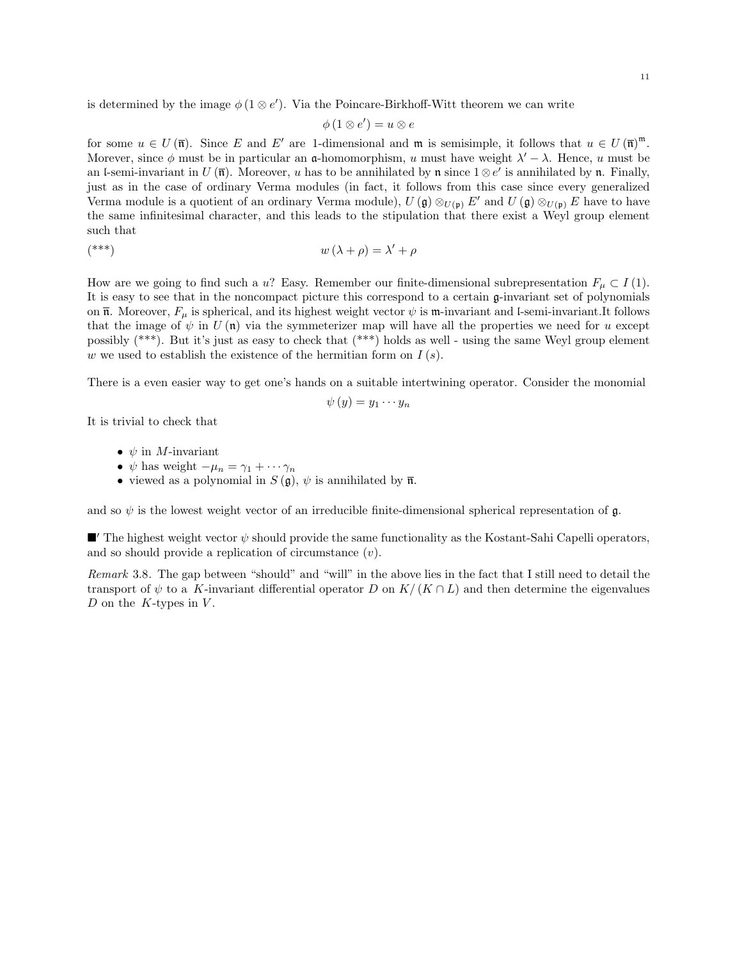is determined by the image  $\phi(1 \otimes e')$ . Via the Poincare-Birkhoff-Witt theorem we can write

$$
\phi(1\otimes e')=u\otimes e
$$

for some  $u \in U(\overline{\mathfrak{n}})$ . Since E and E' are 1-dimensional and  $\mathfrak{m}$  is semisimple, it follows that  $u \in U(\overline{\mathfrak{n}})^{\mathfrak{m}}$ . Morever, since  $\phi$  must be in particular an a-homomorphism, u must have weight  $\lambda' - \lambda$ . Hence, u must be an l-semi-invariant in  $U(\overline{\mathfrak{n}})$ . Moreover, u has to be annihilated by  $\mathfrak{n}$  since  $1 \otimes e'$  is annihilated by  $\mathfrak{n}$ . Finally, just as in the case of ordinary Verma modules (in fact, it follows from this case since every generalized Verma module is a quotient of an ordinary Verma module),  $U(\mathfrak{g}) \otimes_{U(\mathfrak{p})} E'$  and  $U(\mathfrak{g}) \otimes_{U(\mathfrak{p})} E$  have to have the same infinitesimal character, and this leads to the stipulation that there exist a Weyl group element such that

$$
w(\lambda + \rho) = \lambda' + \rho
$$

How are we going to find such a u? Easy. Remember our finite-dimensional subrepresentation  $F_u \subset I(1)$ . It is easy to see that in the noncompact picture this correspond to a certain g-invariant set of polynomials on  $\overline{\mathfrak{n}}$ . Moreover,  $F_{\mu}$  is spherical, and its highest weight vector  $\psi$  is  $\mathfrak{m}$ -invariant and l-semi-invariant.It follows that the image of  $\psi$  in  $U(\mathfrak{n})$  via the symmeterizer map will have all the properties we need for u except possibly (\*\*\*). But it's just as easy to check that (\*\*\*) holds as well - using the same Weyl group element w we used to establish the existence of the hermitian form on  $I(s)$ .

There is a even easier way to get one's hands on a suitable intertwining operator. Consider the monomial

$$
\psi(y)=y_1\cdots y_n
$$

It is trivial to check that

- $\psi$  in *M*-invariant
- $\psi$  has weight  $-\mu_n = \gamma_1 + \cdots + \gamma_n$
- viewed as a polynomial in  $S(\mathfrak{g})$ ,  $\psi$  is annihilated by  $\overline{\mathfrak{n}}$ .

and so  $\psi$  is the lowest weight vector of an irreducible finite-dimensional spherical representation of  $\mathfrak{g}$ .

 $\blacksquare'$  The highest weight vector  $\psi$  should provide the same functionality as the Kostant-Sahi Capelli operators, and so should provide a replication of circumstance  $(v)$ .

Remark 3.8. The gap between "should" and "will" in the above lies in the fact that I still need to detail the transport of  $\psi$  to a K-invariant differential operator D on K/(K ∩ L) and then determine the eigenvalues D on the K-types in  $V$ .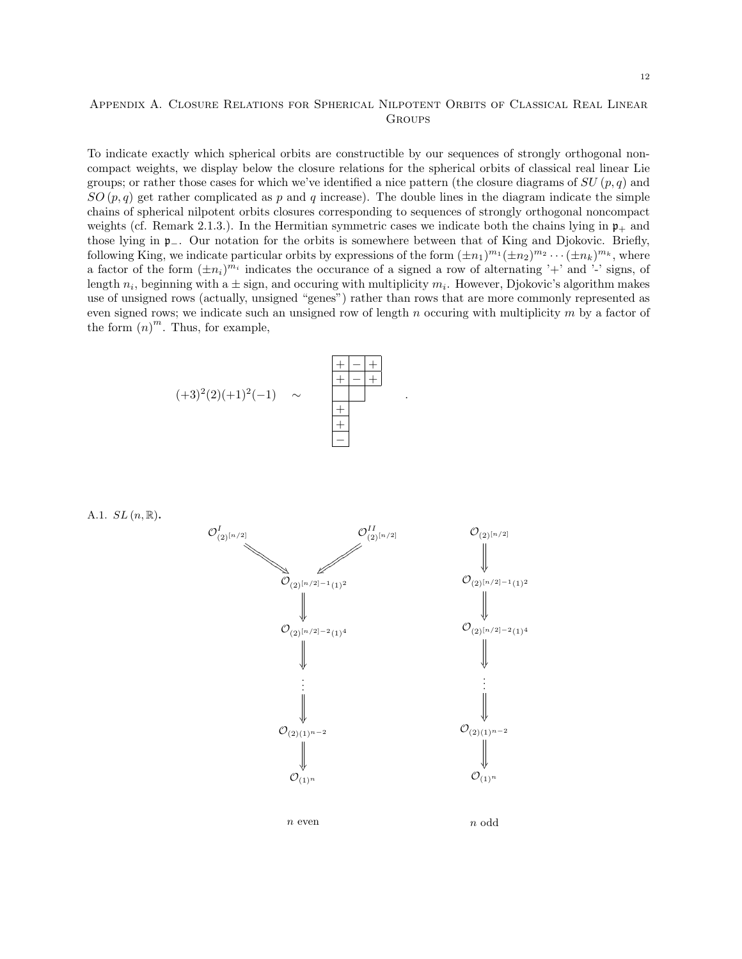# Appendix A. Closure Relations for Spherical Nilpotent Orbits of Classical Real Linear **GROUPS**

To indicate exactly which spherical orbits are constructible by our sequences of strongly orthogonal noncompact weights, we display below the closure relations for the spherical orbits of classical real linear Lie groups; or rather those cases for which we've identified a nice pattern (the closure diagrams of  $SU(p, q)$ ) and  $SO(p,q)$  get rather complicated as p and q increase). The double lines in the diagram indicate the simple chains of spherical nilpotent orbits closures corresponding to sequences of strongly orthogonal noncompact weights (cf. Remark 2.1.3.). In the Hermitian symmetric cases we indicate both the chains lying in  $\mathfrak{p}_+$  and those lying in p−. Our notation for the orbits is somewhere between that of King and Djokovic. Briefly, following King, we indicate particular orbits by expressions of the form  $(\pm n_1)^{m_1}(\pm n_2)^{m_2}\cdots(\pm n_k)^{m_k}$ , where a factor of the form  $(\pm n_i)^{m_i}$  indicates the occurance of a signed a row of alternating '+' and '-' signs, of length  $n_i$ , beginning with a  $\pm$  sign, and occuring with multiplicity  $m_i$ . However, Djokovic's algorithm makes use of unsigned rows (actually, unsigned "genes") rather than rows that are more commonly represented as even signed rows; we indicate such an unsigned row of length n occuring with multiplicity  $m$  by a factor of the form  $(n)^m$ . Thus, for example,

.



A.1.  $SL(n,\mathbb{R})$ .

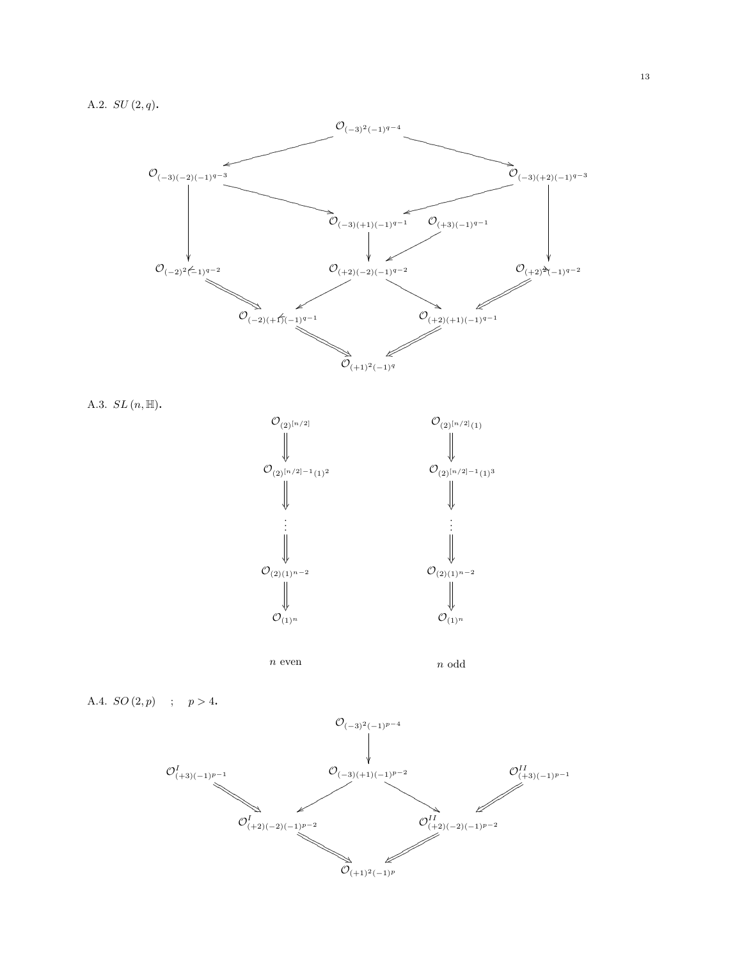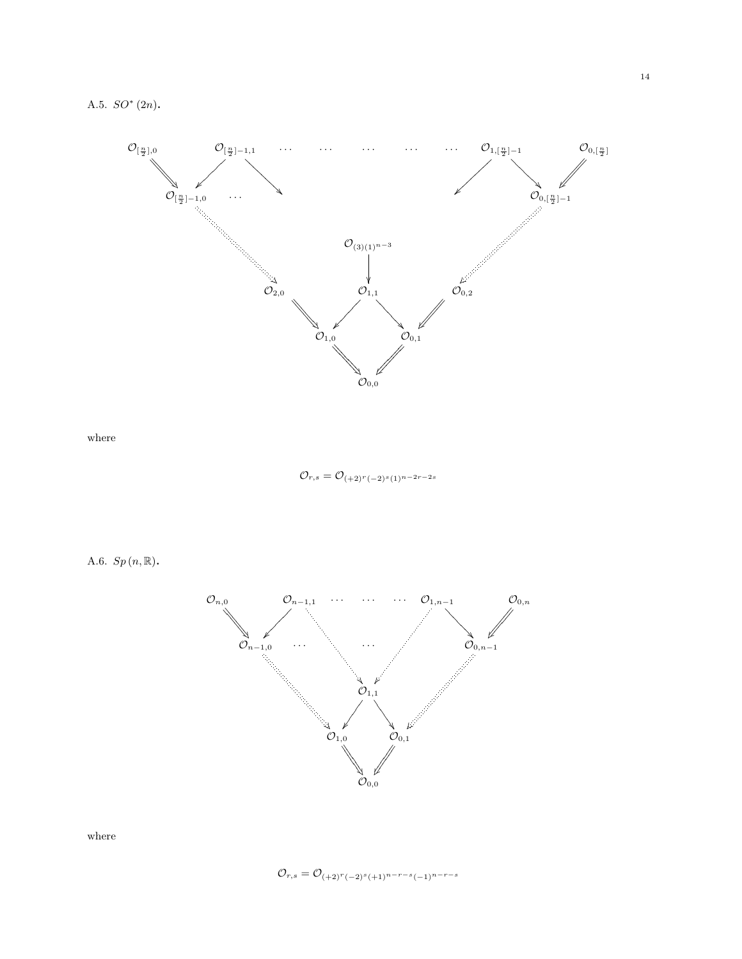

where

 $\mathcal{O}_{r,s} = \mathcal{O}_{(+2)^r(-2)^s(1)^{n-2r-2s}}$ 

A.6.  $Sp(n, \mathbb{R})$ .



where

$$
\mathcal{O}_{r,s} = \mathcal{O}_{(+2)^r(-2)^s(+1)^{n-r-s}(-1)^{n-r-s}}
$$